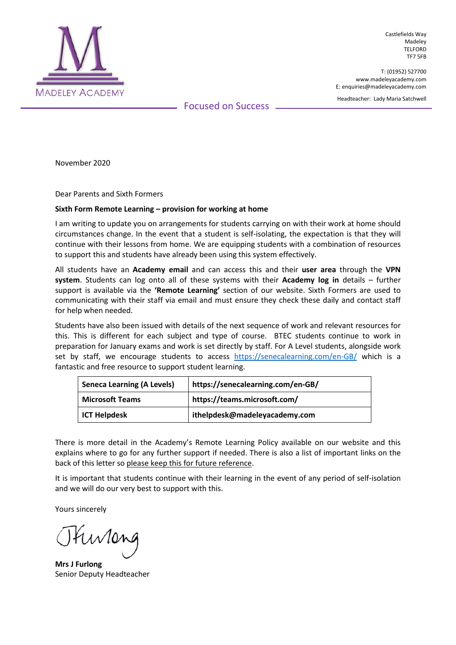

Castlefields Way Madeley TELFORD TF7 5FB

T: (01952) 527700 www.madeleyacademy.com E: enquiries@madeleyacademy.com

Headteacher: Lady Maria Satchwell

Focused on Success

November 2020

Dear Parents and Sixth Formers

## **Sixth Form Remote Learning – provision for working at home**

I am writing to update you on arrangements for students carrying on with their work at home should circumstances change. In the event that a student is self-isolating, the expectation is that they will continue with their lessons from home. We are equipping students with a combination of resources to support this and students have already been using this system effectively.

All students have an **Academy email** and can access this and their **user area** through the **VPN system**. Students can log onto all of these systems with their **Academy log in** details – further support is available via the **'Remote Learning'** section of our website. Sixth Formers are used to communicating with their staff via email and must ensure they check these daily and contact staff for help when needed.

Students have also been issued with details of the next sequence of work and relevant resources for this. This is different for each subject and type of course. BTEC students continue to work in preparation for January exams and work is set directly by staff. For A Level students, alongside work set by staff, we encourage students to access <https://senecalearning.com/en-GB/> which is a fantastic and free resource to support student learning.

| <b>Seneca Learning (A Levels)</b> | https://senecalearning.com/en-GB/ |
|-----------------------------------|-----------------------------------|
| <b>Microsoft Teams</b>            | https://teams.microsoft.com/      |
| <b>ICT Helpdesk</b>               | ithelpdesk@madeleyacademy.com     |

There is more detail in the Academy's Remote Learning Policy available on our website and this explains where to go for any further support if needed. There is also a list of important links on the back of this letter so please keep this for future reference.

It is important that students continue with their learning in the event of any period of self-isolation and we will do our very best to support with this.

Yours sincerely

**Mrs J Furlong** Senior Deputy Headteacher